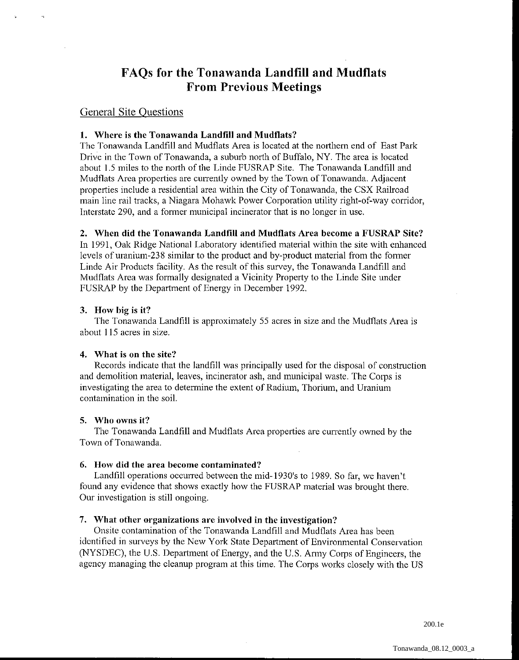# **FAQs for the Tonawanda Landfill and Mudflats From Previous Meetings**

# General Site Questions

## **1. Where is the Tonawanda Landfill and Mudflats?**

The Tonawanda Landfill and Mudflats Area is located at the northern end of East Park Drive in the Town of Tonawanda, a suburb north of Buffalo, NY. The area is located about 1.5 miles to the north of the Linde FUSRAP Site. The Tonawanda Landfill and Mudflats Area propertics are currently owned by the Town of Tonawanda. Adjacent properties include a residential area within the City of Tonawanda, the CSX Railroad main line rail tracks, a Niagara Mohawk Power Corporation utility right-of-way corridor, Interstate 290, and a former municipal incinerator that is no longer in use.

#### **2. When did the Tonawanda Landfill and Mudflats Area become a FUSRAP Site?**

In 1991, Oak Ridge National Laboratory identified material within the site with enhanced levels of uranium-238 similar to the product and by-product material from the former Linde Air Products facility. As the result of this survey, the Tonawanda Landfill and Mudflats Area was formally designated a Vicinity Property to the Linde Site under FUSRAP by the Department of Energy in December 1992.

#### **3. How big is it?**

The Tonawanda Landfill is approximately 55 acres in size and the Muclflats Area is about 115 acres in size.

#### **4. What is on the site?**

Records indicate that the landfill was principally used for the disposal of constmction and demolition material, leaves, incinerator ash, and municipal waste. The Corps is investigating the area to determine the extent of Radium, Thorium, and Uranium contamination in the soil.

#### **5. Wllo owns it?**

The Tonawanda Landfill and Mudflats Arca properties are currently owned by the Town of Tonawanda.

#### **6. How did the area become contaminated?**

Landfill operations occurred between the mid-1930's to 1989. So far, we haven't found any evidence that shows exactly how the FUSRAP material was brought there. Our investigation is still ongoing.

# **7. What other organizations are involved in the investigation?**

Onsite contamination of the Tonawanda Landfill and Mudflats Area has been identified in surveys by the New York State Department of Environmental Conservation (NYSDEC), the U.S. Department of Energy, and the U.S. Army Corps of Engineers, the agency managing the cleanup program at this time. The Corps works closely with the US

200.1e